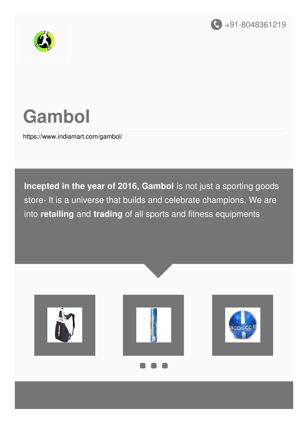



# **Gambol**

<https://www.indiamart.com/gambol/>

**Incepted in the year of 2016, Gambol** is not just a sporting goods store- It is a universe that builds and celebrate champions. We are into **retailing** and **trading** of all sports and fitness equipments





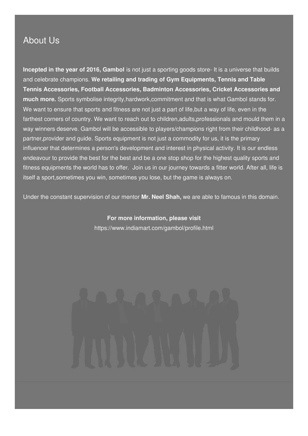#### About Us

**Incepted in the year of 2016, Gambol** is not just a sporting goods store- It is a universe that builds and celebrate champions. **We retailing and trading of Gym Equipments, Tennis and Table Tennis Accessories, Football Accessories, Badminton Accessories, Cricket Accessories and much more.** Sports symbolise integrity,hardwork,commitment and that is what Gambol stands for. We want to ensure that sports and fitness are not just a part of life, but a way of life, even in the farthest corners of country. We want to reach out to children,adults,professionals and mould them in a way winners deserve. Gambol will be accessible to players/champions right from their childhood- as a partner,provider and guide. Sports equipment is not just a commodity for us, it is the primary influencer that determines a person's development and interest in physical activity. It is our endless endeavour to provide the best for the best and be a one stop shop for the highest quality sports and fitness equipments the world has to offer. Join us in our journey towards a fitter world. After all, life is itself a sport,sometimes you win, sometimes you lose, but the game is always on.

Under the constant supervision of our mentor **Mr. Neel Shah,** we are able to famous in this domain.

**For more information, please visit** <https://www.indiamart.com/gambol/profile.html>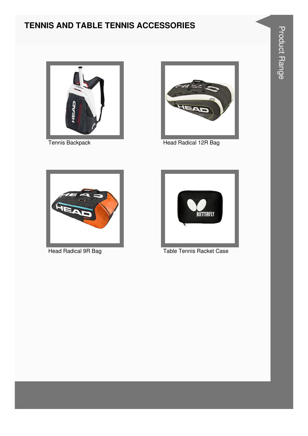#### **TENNIS AND TABLE TENNIS ACCESSORIES**





Tennis Backpack **Head Radical 12R Bag** 





Head Radical 9R Bag Table Tennis Racket Case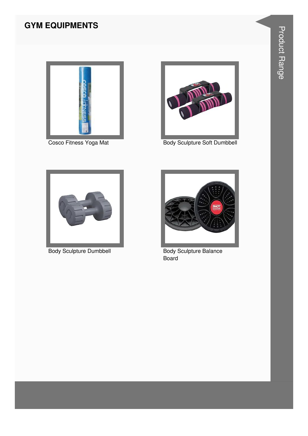#### **GYM EQUIPMENTS**





Cosco Fitness Yoga Mat Body Sculpture Soft Dumbbell



Body Sculpture Dumbbell Body Sculpture Balance



Board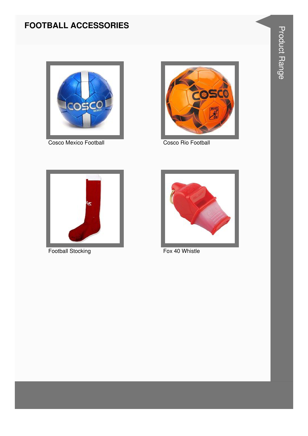#### **FOOTBALL ACCESSORIES**



Cosco Mexico Football



**Cosco Rio Football** 



**Football Stocking** 



Fox 40 Whistle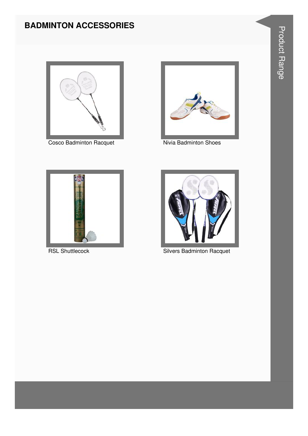#### **BADMINTON ACCESSORIES**



**Cosco Badminton Racquet** 



Nivia Badminton Shoes



**RSL Shuttlecock** 



**Silvers Badminton Racquet**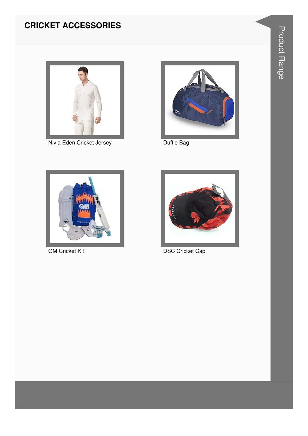### **CRICKET ACCESSORIES**



Nivia Eden Cricket Jersey



Duffle Bag



**GM Cricket Kit** 



**DSC Cricket Cap**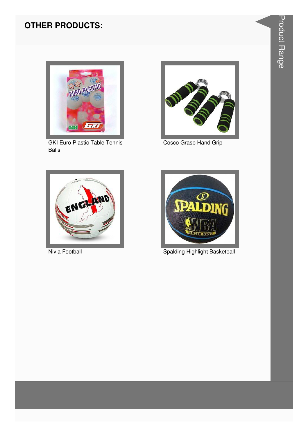#### **OTHER PRODUCTS:**



**GKI Euro Plastic Table Tennis Balls** 



Cosco Grasp Hand Grip



Nivia Football



**Spalding Highlight Basketball**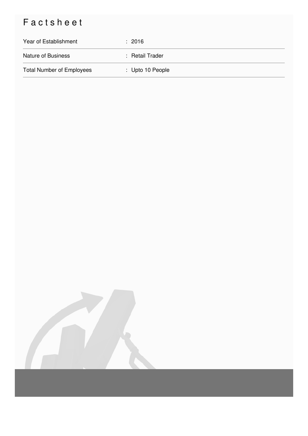## Factsheet

| Year of Establishment            | : 2016           |
|----------------------------------|------------------|
| <b>Nature of Business</b>        | : Retail Trader  |
| <b>Total Number of Employees</b> | : Upto 10 People |